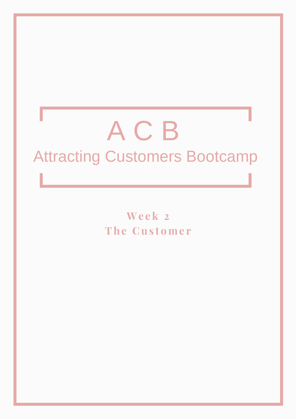# ACB **Attracting Customers Bootcamp**

Week 2 The Customer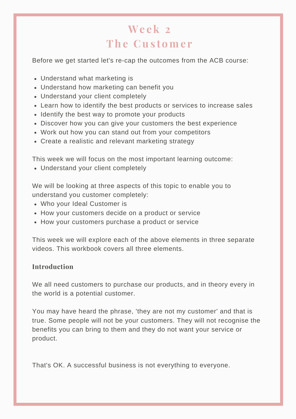# **We e k 2 The C us t ome r**

Before we get started let's re-cap the outcomes from the ACB course:

- Understand what marketing is
- Understand how marketing can benefit you
- Understand your client completely
- Learn how to identify the best products or services to increase sales
- Identify the best way to promote your products
- Discover how you can give your customers the best experience
- Work out how you can stand out from your competitors
- Create a realistic and relevant marketing strategy

This week we will focus on the most important learning outcome:

Understand your client completely

We will be looking at three aspects of this topic to enable you to understand you customer completely:

- Who your Ideal Customer is
- How your customers decide on a product or service
- How your customers purchase a product or service

This week we will explore each of the above elements in three separate videos. This workbook covers all three elements.

#### **Introduction**

We all need customers to purchase our products, and in theory every in the world is a potential customer.

You may have heard the phrase, 'they are not my customer' and that is true. Some people will not be your customers. They will not recognise the benefits you can bring to them and they do not want your service or product.

That's OK. A successful business is not everything to everyone.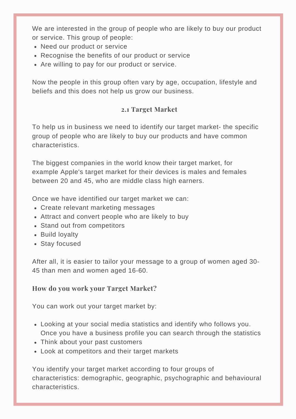We are interested in the group of people who are likely to buy our product or service. This group of people:

- Need our product or service
- Recognise the benefits of our product or service
- Are willing to pay for our product or service.

Now the people in this group often vary by age, occupation, lifestyle and beliefs and this does not help us grow our business.

# **2.1 Target Market**

To help us in business we need to identify our target market- the specific group of people who are likely to buy our products and have common characteristics.

The biggest companies in the world know their target market, for example Apple's target market for their devices is males and females between 20 and 45, who are middle class high earners.

Once we have identified our target market we can:

- Create relevant marketing messages
- Attract and convert people who are likely to buy
- Stand out from competitors
- Build loyalty
- Stay focused

After all, it is easier to tailor your message to a group of women aged 30- 45 than men and women aged 16-60.

# **How do you work your Target Market?**

You can work out your target market by:

- Looking at your social media statistics and identify who follows you. Once you have a business profile you can search through the statistics
- Think about your past customers
- Look at competitors and their target markets

You identify your target market according to four groups of characteristics: demographic, geographic, psychographic and behavioural characteristics.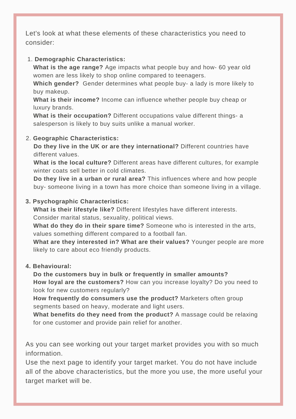Let's look at what these elements of these characteristics you need to consider:

#### 1. **Demographic Characteristics:**

**What is the age range?** Age impacts what people buy and how- 60 year old women are less likely to shop online compared to teenagers.

**Which gender?** Gender determines what people buy- a lady is more likely to buy makeup.

**What is their income?** Income can influence whether people buy cheap or luxury brands.

**What is their occupation?** Different occupations value different things- a salesperson is likely to buy suits unlike a manual worker.

#### 2. **Geographic Characteristics:**

**Do they live in the UK or are they international?** Different countries have different values.

**What is the local culture?** Different areas have different cultures, for example winter coats sell better in cold climates.

**Do they live in a urban or rural area?** This influences where and how people buy- someone living in a town has more choice than someone living in a village.

#### **3. Psychographic Characteristics:**

**What is their lifestyle like?** Different lifestyles have different interests. Consider marital status, sexuality, political views.

**What do they do in their spare time?** Someone who is interested in the arts, values something different compared to a football fan.

**What are they interested in? What are their values?** Younger people are more likely to care about eco friendly products.

#### **4. Behavioural:**

**Do the customers buy in bulk or frequently in smaller amounts? How loyal are the customers?** How can you increase loyalty? Do you need to look for new customers regularly?

**How frequently do consumers use the product?** Marketers often group segments based on heavy, moderate and light users.

**What benefits do they need from the product?** A massage could be relaxing for one customer and provide pain relief for another.

As you can see working out your target market provides you with so much information.

Use the next page to identify your target market. You do not have include all of the above characteristics, but the more you use, the more useful your target market will be.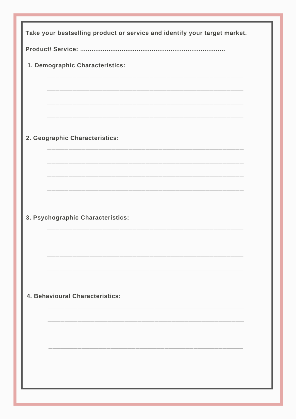| Take your bestselling product or service and identify your target market. |
|---------------------------------------------------------------------------|
|                                                                           |
| 1. Demographic Characteristics:                                           |
|                                                                           |
|                                                                           |
|                                                                           |
|                                                                           |
| 2. Geographic Characteristics:                                            |
|                                                                           |
|                                                                           |
|                                                                           |
|                                                                           |
| 3. Psychographic Characteristics:                                         |
|                                                                           |
|                                                                           |
|                                                                           |
|                                                                           |
| 4. Behavioural Characteristics:                                           |
|                                                                           |
|                                                                           |
|                                                                           |
|                                                                           |
|                                                                           |
|                                                                           |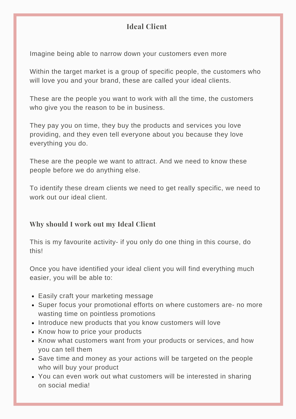# **Ideal Client**

Imagine being able to narrow down your customers even more

Within the target market is a group of specific people, the customers who will love you and your brand, these are called your ideal clients.

These are the people you want to work with all the time, the customers who give you the reason to be in business.

They pay you on time, they buy the products and services you love providing, and they even tell everyone about you because they love everything you do.

These are the people we want to attract. And we need to know these people before we do anything else.

To identify these dream clients we need to get really specific, we need to work out our ideal client.

# **Why should I work out my Ideal Client**

This is my favourite activity- if you only do one thing in this course, do this!

Once you have identified your ideal client you will find everything much easier, you will be able to:

- Easily craft your marketing message
- Super focus your promotional efforts on where customers are- no more wasting time on pointless promotions
- Introduce new products that you know customers will love
- Know how to price your products
- Know what customers want from your products or services, and how you can tell them
- Save time and money as your actions will be targeted on the people who will buy your product
- You can even work out what customers will be interested in sharing on social media!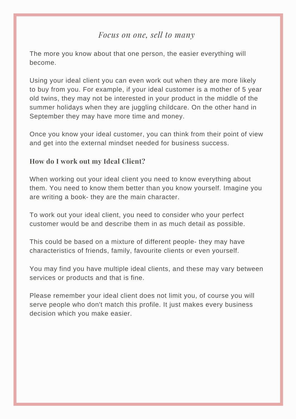# *Focus on one, sell to many*

The more you know about that one person, the easier everything will become.

Using your ideal client you can even work out when they are more likely to buy from you. For example, if your ideal customer is a mother of 5 year old twins, they may not be interested in your product in the middle of the summer holidays when they are juggling childcare. On the other hand in September they may have more time and money.

Once you know your ideal customer, you can think from their point of view and get into the external mindset needed for business success.

#### **How do I work out my Ideal Client?**

When working out your ideal client you need to know everything about them. You need to know them better than you know yourself. Imagine you are writing a book- they are the main character.

To work out your ideal client, you need to consider who your perfect customer would be and describe them in as much detail as possible.

This could be based on a mixture of different people- they may have characteristics of friends, family, favourite clients or even yourself.

You may find you have multiple ideal clients, and these may vary between services or products and that is fine.

Please remember your ideal client does not limit you, of course you will serve people who don't match this profile. It just makes every business decision which you make easier.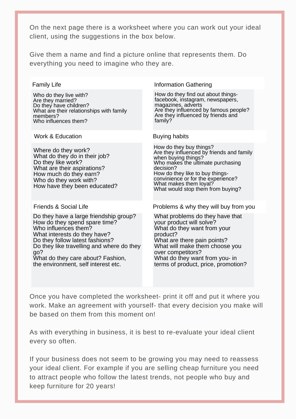On the next page there is a worksheet where you can work out your ideal client, using the suggestions in the box below.

Give them a name and find a picture online that represents them. Do everything you need to imagine who they are.

| <b>Family Life</b>                                                                                                                                                                                                                                                                                 | <b>Information Gathering</b>                                                                                                                                                                                                                                                          |
|----------------------------------------------------------------------------------------------------------------------------------------------------------------------------------------------------------------------------------------------------------------------------------------------------|---------------------------------------------------------------------------------------------------------------------------------------------------------------------------------------------------------------------------------------------------------------------------------------|
| Who do they live with?<br>Are they married?<br>Do they have children?<br>What are their relationships with family<br>members?<br>Who influences them?                                                                                                                                              | How do they find out about things-<br>facebook, instagram, newspapers,<br>magazines, adverts<br>Are they influenced by famous people?<br>Are they influenced by friends and<br>family?                                                                                                |
| Work & Education                                                                                                                                                                                                                                                                                   | <b>Buying habits</b>                                                                                                                                                                                                                                                                  |
| Where do they work?<br>What do they do in their job?<br>Do they like work?<br>What are their aspirations?<br>How much do they earn?<br>Who do they work with?<br>How have they been educated?                                                                                                      | How do they buy things?<br>Are they influenced by friends and family<br>when buying things?<br>Who makes the ultimate purchasing<br>decision?<br>How do they like to buy things-<br>convinience or for the experience?<br>What makes them loyal?<br>What would stop them from buying? |
| Friends & Social Life                                                                                                                                                                                                                                                                              | Problems & why they will buy from you                                                                                                                                                                                                                                                 |
| Do they have a large friendship group?<br>How do they spend spare time?<br>Who influences them?<br>What interests do they have?<br>Do they follow latest fashions?<br>Do they like travelling and where do they<br>go?<br>What do they care about? Fashion,<br>the environment, self interest etc. | What problems do they have that<br>your product will solve?<br>What do they want from your<br>product?<br>What are there pain points?<br>What will make them choose you<br>over competitors?<br>What do they want from you- in<br>terms of product, price, promotion?                 |

Once you have completed the worksheet- print it off and put it where you work. Make an agreement with yourself- that every decision you make will be based on them from this moment on!

As with everything in business, it is best to re-evaluate your ideal client every so often.

If your business does not seem to be growing you may need to reassess your ideal client. For example if you are selling cheap furniture you need to attract people who follow the latest trends, not people who buy and keep furniture for 20 years!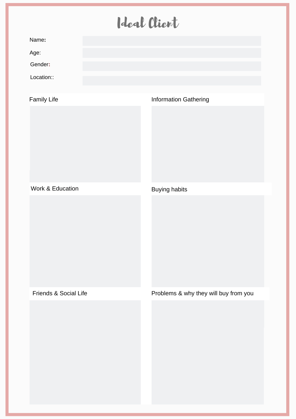# Ideal Client

|                       | ╾ | $\sim$ $\sim$ $\sim$ $\sim$           |
|-----------------------|---|---------------------------------------|
| Name:                 |   |                                       |
| Age:                  |   |                                       |
| Gender:               |   |                                       |
| Location::            |   |                                       |
| <b>Family Life</b>    |   | <b>Information Gathering</b>          |
|                       |   |                                       |
| Work & Education      |   | <b>Buying habits</b>                  |
|                       |   |                                       |
| Friends & Social Life |   | Problems & why they will buy from you |
|                       |   |                                       |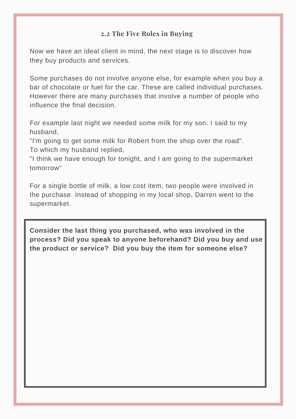# **2.2 The Five Roles in Buying**

Now we have an ideal client in mind, the next stage is to discover how they buy products and services.

Some purchases do not involve anyone else, for example when you buy a bar of chocolate or fuel for the car. These are called individual purchases. However there are many purchases that involve a number of people who influence the final decision.

For example last night we needed some milk for my son. I said to my husband,

"I'm going to get some milk for Robert from the shop over the road". To which my husband replied,

"I think we have enough for tonight, and I am going to the supermarket tomorrow"

For a single bottle of milk, a low cost item, two people were involved in the purchase. Instead of shopping in my local shop, Darren went to the supermarket.

**Consider the last thing you purchased, who was involved in the process? Did you speak to anyone beforehand? Did you buy and use the product or service? Did you buy the item for someone else?**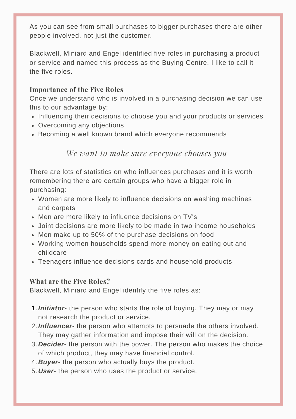As you can see from small purchases to bigger purchases there are other people involved, not just the customer.

Blackwell, Miniard and Engel identified five roles in purchasing a product or service and named this process as the Buying Centre. I like to call it the five roles.

# **Importance of the Five Roles**

Once we understand who is involved in a purchasing decision we can use this to our advantage by:

- Influencing their decisions to choose you and your products or services
- Overcoming any objections
- Becoming a well known brand which everyone recommends

# *We want to make sure everyone chooses you*

There are lots of statistics on who influences purchases and it is worth remembering there are certain groups who have a bigger role in purchasing:

- Women are more likely to influence decisions on washing machines and carpets
- Men are more likely to influence decisions on TV's
- Joint decisions are more likely to be made in two income households
- Men make up to 50% of the purchase decisions on food
- Working women households spend more money on eating out and childcare
- Teenagers influence decisions cards and household products

#### **What are the Five Roles?**

Blackwell, Miniard and Engel identify the five roles as:

- 1. Initiator- the person who starts the role of buying. They may or may not research the product or service.
- *Influencer* the person who attempts to persuade the others involved. 2. They may gather information and impose their will on the decision.
- *Decider* the person with the power. The person who makes the choice 3. of which product, they may have financial control.
- 4. Buyer- the person who actually buys the product.
- *User* the person who uses the product or service. 5.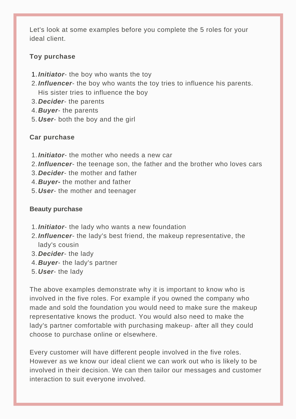Let's look at some examples before you complete the 5 roles for your ideal client.

#### **Toy purchase**

- 1. Initiator- the boy who wants the toy
- *Influencer* the boy who wants the toy tries to influence his parents. 2. His sister tries to influence the boy
- *Decider* the parents 3.
- *Buyer* the parents 4.
- *User* both the boy and the girl 5.

#### **Car purchase**

- 1. **Initiator** the mother who needs a new car
- *Influencer* the teenage son, the father and the brother who loves cars 2.
- *Decider* the mother and father 3.
- *Buyer-* the mother and father 4.
- *User* the mother and teenager 5.

#### **Beauty purchase**

- 1. **Initiator** the lady who wants a new foundation
- *Influencer* the lady's best friend, the makeup representative, the 2. lady's cousin
- *Decider* the lady 3.
- *Buyer* the lady's partner 4.
- *User* the lady 5.

The above examples demonstrate why it is important to know who is involved in the five roles. For example if you owned the company who made and sold the foundation you would need to make sure the makeup representative knows the product. You would also need to make the lady's partner comfortable with purchasing makeup- after all they could choose to purchase online or elsewhere.

Every customer will have different people involved in the five roles. However as we know our ideal client we can work out who is likely to be involved in their decision. We can then tailor our messages and customer interaction to suit everyone involved.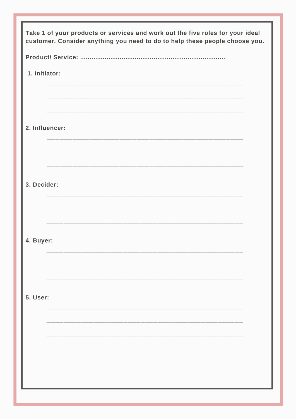| Take 1 of your products or services and work out the five roles for your ideal<br>customer. Consider anything you need to do to help these people choose you. |  |  |  |
|---------------------------------------------------------------------------------------------------------------------------------------------------------------|--|--|--|
|                                                                                                                                                               |  |  |  |
| 1. Initiator:                                                                                                                                                 |  |  |  |
|                                                                                                                                                               |  |  |  |
|                                                                                                                                                               |  |  |  |
| 2. Influencer:                                                                                                                                                |  |  |  |
|                                                                                                                                                               |  |  |  |
|                                                                                                                                                               |  |  |  |
| 3. Decider:                                                                                                                                                   |  |  |  |
|                                                                                                                                                               |  |  |  |
|                                                                                                                                                               |  |  |  |
| 4. Buyer:                                                                                                                                                     |  |  |  |
|                                                                                                                                                               |  |  |  |
|                                                                                                                                                               |  |  |  |
| <b>5. User:</b>                                                                                                                                               |  |  |  |
|                                                                                                                                                               |  |  |  |
|                                                                                                                                                               |  |  |  |
|                                                                                                                                                               |  |  |  |
|                                                                                                                                                               |  |  |  |
|                                                                                                                                                               |  |  |  |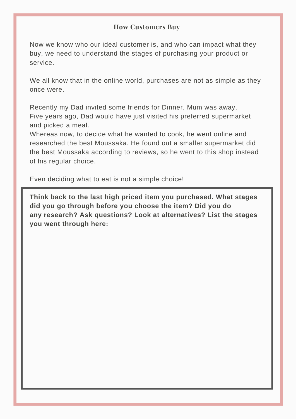#### **How Customers Buy**

Now we know who our ideal customer is, and who can impact what they buy, we need to understand the stages of purchasing your product or service.

We all know that in the online world, purchases are not as simple as they once were.

Recently my Dad invited some friends for Dinner, Mum was away. Five years ago, Dad would have just visited his preferred supermarket and picked a meal.

Whereas now, to decide what he wanted to cook, he went online and researched the best Moussaka. He found out a smaller supermarket did the best Moussaka according to reviews, so he went to this shop instead of his regular choice.

Even deciding what to eat is not a simple choice!

**Think back to the last high priced item you purchased. What stages did you go through before you choose the item? Did you do any research? Ask questions? Look at alternatives? List the stages you went through here:**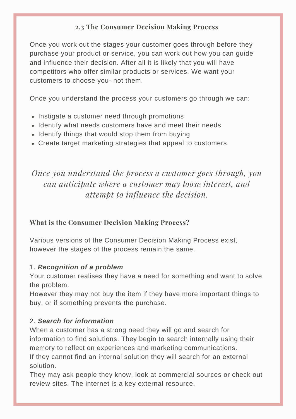# **2.3 The Consumer Decision Making Process**

Once you work out the stages your customer goes through before they purchase your product or service, you can work out how you can guide and influence their decision. After all it is likely that you will have competitors who offer similar products or services. We want your customers to choose you- not them.

Once you understand the process your customers go through we can:

- Instigate a customer need through promotions
- Identify what needs customers have and meet their needs
- Identify things that would stop them from buying
- Create target marketing strategies that appeal to customers

*Once you understand the process a customer goes through, you can anticipate where a customer may loose interest, and attempt to influence the decision.*

#### **What is the Consumer Decision Making Process?**

Various versions of the Consumer Decision Making Process exist, however the stages of the process remain the same.

#### 1. *Recognition of a problem*

Your customer realises they have a need for something and want to solve the problem.

However they may not buy the item if they have more important things to buy, or if something prevents the purchase.

#### 2. *Search for information*

When a customer has a strong need they will go and search for information to find solutions. They begin to search internally using their memory to reflect on experiences and marketing communications. If they cannot find an internal solution they will search for an external solution.

They may ask people they know, look at commercial sources or check out review sites. The internet is a key external resource.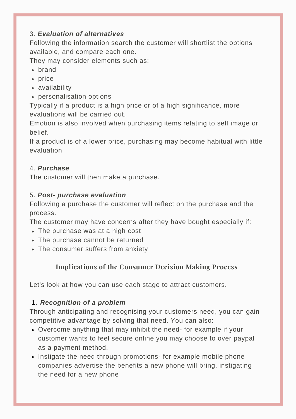# 3. *Evaluation of alternatives*

Following the information search the customer will shortlist the options available, and compare each one.

They may consider elements such as:

- hrand
- price
- availability
- personalisation options

Typically if a product is a high price or of a high significance, more evaluations will be carried out.

Emotion is also involved when purchasing items relating to self image or belief.

If a product is of a lower price, purchasing may become habitual with little evaluation

# 4. *Purchase*

The customer will then make a purchase.

# 5. *Post- purchase evaluation*

Following a purchase the customer will reflect on the purchase and the process.

The customer may have concerns after they have bought especially if:

- The purchase was at a high cost
- The purchase cannot be returned
- The consumer suffers from anxiety

# **Implications of the Consumer Decision Making Process**

Let's look at how you can use each stage to attract customers.

# *Recognition of a problem* 1.

Through anticipating and recognising your customers need, you can gain competitive advantage by solving that need. You can also:

- Overcome anything that may inhibit the need- for example if your customer wants to feel secure online you may choose to over paypal as a payment method.
- Instigate the need through promotions- for example mobile phone companies advertise the benefits a new phone will bring, instigating the need for a new phone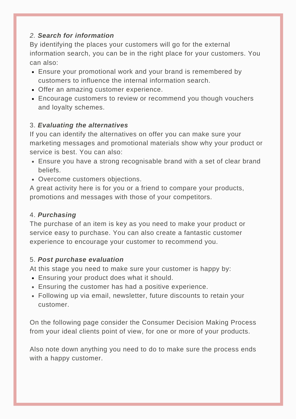# *2. Search for information*

By identifying the places your customers will go for the external information search, you can be in the right place for your customers. You can also:

- Ensure your promotional work and your brand is remembered by customers to influence the internal information search.
- Offer an amazing customer experience.
- Encourage customers to review or recommend you though vouchers and loyalty schemes.

# 3. *Evaluating the alternatives*

If you can identify the alternatives on offer you can make sure your marketing messages and promotional materials show why your product or service is best. You can also:

- Ensure you have a strong recognisable brand with a set of clear brand beliefs.
- Overcome customers objections.

A great activity here is for you or a friend to compare your products, promotions and messages with those of your competitors.

#### 4. *Purchasing*

The purchase of an item is key as you need to make your product or service easy to purchase. You can also create a fantastic customer experience to encourage your customer to recommend you.

#### 5. *Post purchase evaluation*

At this stage you need to make sure your customer is happy by:

- Ensuring your product does what it should.
- Ensuring the customer has had a positive experience.
- Following up via email, newsletter, future discounts to retain your customer.

On the following page consider the Consumer Decision Making Process from your ideal clients point of view, for one or more of your products.

Also note down anything you need to do to make sure the process ends with a happy customer.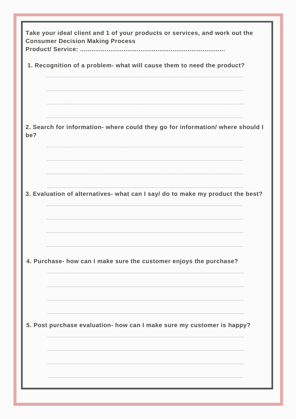| Take your ideal client and 1 of your products or services, and work out the<br><b>Consumer Decision Making Process</b> |  |  |  |  |
|------------------------------------------------------------------------------------------------------------------------|--|--|--|--|
| 1. Recognition of a problem- what will cause them to need the product?                                                 |  |  |  |  |
|                                                                                                                        |  |  |  |  |
|                                                                                                                        |  |  |  |  |
|                                                                                                                        |  |  |  |  |
| 2. Search for information- where could they go for information/ where should I<br>be?                                  |  |  |  |  |
|                                                                                                                        |  |  |  |  |
|                                                                                                                        |  |  |  |  |
|                                                                                                                        |  |  |  |  |
| 3. Evaluation of alternatives- what can I say/ do to make my product the best?                                         |  |  |  |  |
|                                                                                                                        |  |  |  |  |
|                                                                                                                        |  |  |  |  |
|                                                                                                                        |  |  |  |  |
| 4. Purchase- how can I make sure the customer enjoys the purchase?                                                     |  |  |  |  |
|                                                                                                                        |  |  |  |  |
|                                                                                                                        |  |  |  |  |
|                                                                                                                        |  |  |  |  |
| 5. Post purchase evaluation- how can I make sure my customer is happy?                                                 |  |  |  |  |
|                                                                                                                        |  |  |  |  |
|                                                                                                                        |  |  |  |  |
|                                                                                                                        |  |  |  |  |
|                                                                                                                        |  |  |  |  |